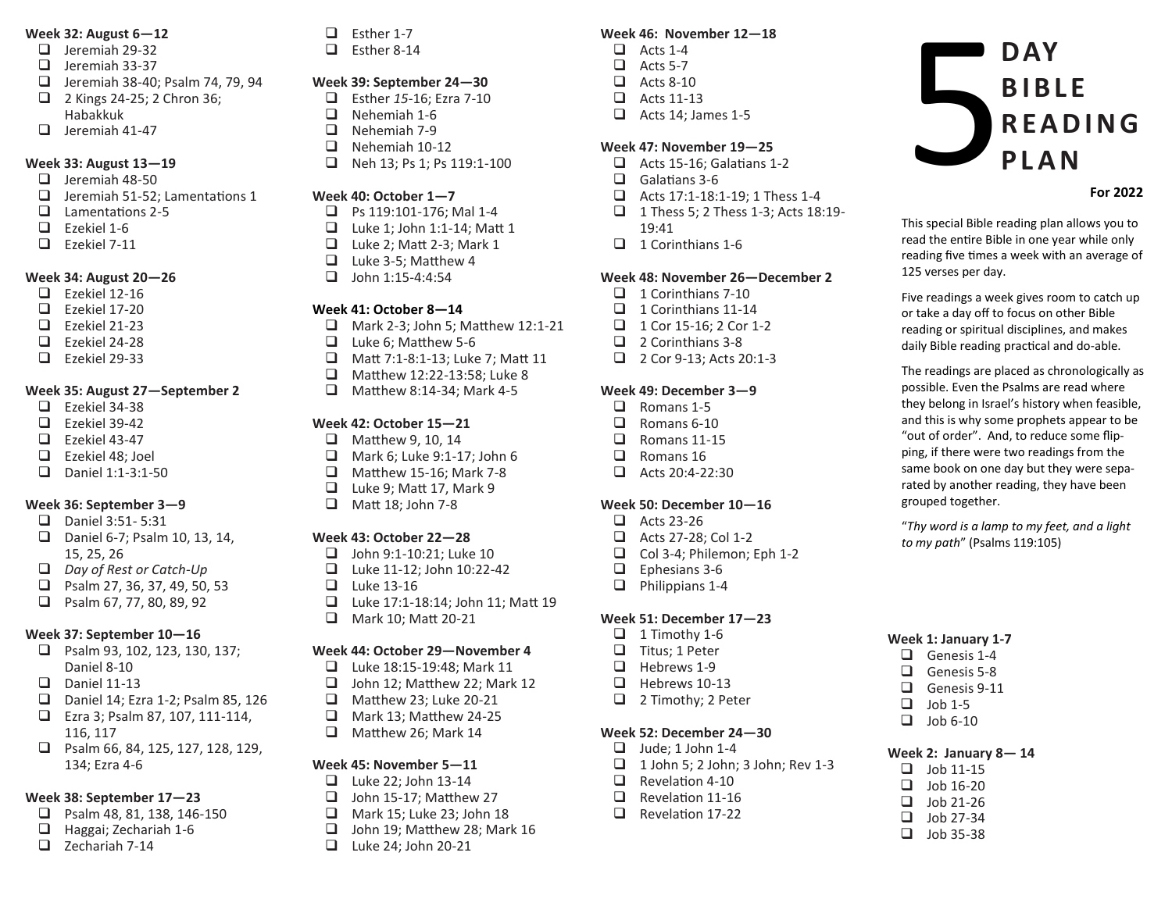#### **Week 32: August 6—12**

- $\Box$  Ieremiah 29-32
- $\Box$  Jeremiah 33-37
- $\Box$  Jeremiah 38-40; Psalm 74, 79, 94 2 Kings 24-25; 2 Chron 36;
- Habakkuk
- $\Box$  Jeremiah 41-47

# **Week 33: August 13—19**

- $\Box$  Jeremiah 48-50
- $\Box$  Jeremiah 51-52; Lamentations 1
- $\Box$  Lamentations 2-5<br> $\Box$  Fzekiel 1-6
- Ezekiel 1-6
- $\Box$  Ezekiel 7-11

# **Week 34: August 20—26**

- $\Box$  Ezekiel 12-16
- $\Box$  Ezekiel 17-20
- $\Box$  Fzekiel 21-23
- $\Box$  Ezekiel 24-28
- $\Box$  Ezekiel 29-33

# **Week 35: August 27—September 2**

- $\Box$  Ezekiel 34-38
- $\Box$  Ezekiel 39-42
- $\Box$  Ezekiel 43-47<br> $\Box$  Ezekiel 48: 10
- Ezekiel 48; Joel
- $\Box$  Daniel 1:1-3:1-50

# **Week 36: September 3—9**

- $\Box$  Daniel 3:51-5:31
- $\Box$  Daniel 6-7; Psalm 10, 13, 14, 15, 25, 26
- *Day of Rest or Catch-Up*
- $\Box$  Psalm 27, 36, 37, 49, 50, 53<br> $\Box$  Psalm 67, 77, 80, 89, 92
- Psalm 67, 77, 80, 89, 92

# **Week 37: September 10—16**

- **D** Psalm 93, 102, 123, 130, 137; Daniel 8-10
- $\Box$  Daniel 11-13
- Daniel 14; Ezra 1-2; Psalm 85, 126
- Ezra 3; Psalm 87, 107, 111-114, 116, 117
- □ Psalm 66, 84, 125, 127, 128, 129, 134; Ezra 4-6

# **Week 38: September 17—23**

- $\Box$  Psalm 48, 81, 138, 146-150<br> $\Box$  Haggai: Zechariah 1-6
- Haggai; Zechariah 1-6
- $\Box$  Zechariah 7-14

 $\Box$  Esther 1-7

 $\Box$  Esther 8-14

### **Week 39: September 24—30**

- □ Esther 15-16; Ezra 7-10<br>□ Nehemiah 1-6
- $\Box$  Nehemiah 1-6<br> $\Box$  Nehemiah 7-9
- $\Box$  Nehemiah 7-9<br> $\Box$  Nehemiah 10-
- Nehemiah 10-12
- $\Box$  Neh 13; Ps 1; Ps 119:1-100

#### **Week 40: October 1—7**

- $\Box$  Ps 119:101-176; Mal 1-4<br> $\Box$  Luke 1: John 1:1-14: Mat
- Luke 1; John 1:1-14; Matt 1
- $\Box$  Luke 2; Matt 2-3; Mark 1<br> $\Box$  Luke 3-5; Matthew 4
- $\Box$  Luke 3-5; Matthew 4<br> $\Box$  Iohn 1:15-4:4:54
- John 1:15-4:4:54

#### **Week 41: October 8—14**

- $\Box$  Mark 2-3; John 5; Matthew 12:1-21
- $\Box$  Luke 6; Matthew 5-6
- □ Matt 7:1-8:1-13; Luke 7; Matt 11
- □ Matthew 12:22-13:58; Luke 8
- $\Box$  Matthew 8:14-34; Mark 4-5

# **Week 42: October 15—21**

- $\Box$  Matthew 9, 10, 14<br> $\Box$  Mark 6: Luke 9:1-1
- Mark 6; Luke 9:1-17; John 6
- $\Box$  Matthew 15-16; Mark 7-8
- $\Box$  Luke 9; Matt 17, Mark 9<br> $\Box$  Matt 18: John 7-8
- Matt 18; John 7-8

# **Week 43: October 22—28**

- $\Box$  John 9:1-10:21: Luke 10
- $\Box$  Luke 11-12; John 10:22-42
- 
- $\Box$  Luke 13-16<br> $\Box$  Luke 17:1-1 Luke 17:1-18:14; John 11; Matt 19
- **H** Mark 10; Matt 20-21

# **Week 44: October 29—November 4**

- Luke 18:15-19:48; Mark 11
- $\Box$  John 12; Matthew 22; Mark 12
- $\Box$  Matthew 23: Luke 20-21
- $\Box$  Mark 13; Matthew 24-25<br> $\Box$  Matthew 26: Mark 14
- Matthew 26; Mark 14

#### **Week 45: November 5—11**

- $\Box$  Luke 22; John 13-14
- $\Box$  John 15-17; Matthew 27
- 
- $\Box$  Mark 15; Luke 23; John 18<br> $\Box$  John 19: Matthew 28: Mar John 19; Matthew 28; Mark 16
- **Luke 24; John 20-21**

# **Week 46: November 12—18**

- $\Box$  Acts 1-4
- $\Box$  Acts 5-7
- $\Box$  Acts 8-10
- $\Box$  Acts 11-13
- $\Box$  Acts 14; James 1-5

# **Week 47: November 19—25**

- $\Box$  Acts 15-16; Galatians 1-2
- $\Box$  Galatians 3-6
- $\Box$  Acts 17:1-18:1-19: 1 Thess 1-4
- 1 Thess 5; 2 Thess 1-3; Acts 18:19-
- 19:41
- $\Box$  1 Corinthians 1-6

#### **Week 48: November 26—December 2**

**Week 1: January 1-7**  $\Box$  Genesis 1-4  $\Box$  Genesis 5-8 Genesis 9-11<br> $\Box$  Iob 1-5 Job 1-5  $\Box$  Job 6-10

grouped together.

**For 2022**

This special Bible reading plan allows you to read the entire Bible in one year while only reading five times a week with an average of

**DAY**

**B I B L E** 

**P L A N**

**R E A D I N G** 

Five readings a week gives room to catch up or take a day off to focus on other Bible reading or spiritual disciplines, and makes daily Bible reading practical and do-able. The readings are placed as chronologically as possible. Even the Psalms are read where they belong in Israel's history when feasible, and this is why some prophets appear to be "out of order". And, to reduce some flipping, if there were two readings from the same book on one day but they were separated by another reading, they have been

"*Thy word is a lamp to my feet, and a light* 

*to my path*" (Psalms 119:105)

125 verses per day.

5

**Week 2: January 8— 14**  $\Box$  Job 11-15  $\Box$  Job 16-20  $\Box$  Job 21-26  $\Box$  Job 27-34  $\Box$  Job 35-38

- $\Box$  1 Corinthians 7-10
- $\Box$  1 Corinthians 11-14  $\Box$  1 Cor 15-16; 2 Cor 1-2

2 Corinthians 3-8 2 Cor 9-13; Acts 20:1-3

**Week 49: December 3—9** Romans 1-5 Romans 6-10  $\Box$  Romans 11-15<br> $\Box$  Romans 16 Romans 16  $\Box$  Acts 20:4-22:30

**Week 50: December 10—16**

□ Acts 27-28; Col 1-2 Col 3-4; Philemon; Eph 1-2

**Week 51: December 17—23**  $\Box$  1 Timothy 1-6  $\Box$  Titus; 1 Peter  $\Box$  Hebrews 1-9<br> $\Box$  Hebrews 10- Hebrews 10-13  $\Box$  2 Timothy; 2 Peter

**Week 52: December 24—30**  $\Box$  Jude; 1 John 1-4

 $\Box$  Revelation 4-10 Revelation 11-16  $\Box$  Revelation 17-22

 $\Box$  1 John 5; 2 John; 3 John; Rev 1-3

 $\Box$  Acts 23-26

 $\Box$  Ephesians 3-6  $\Box$  Philippians 1-4